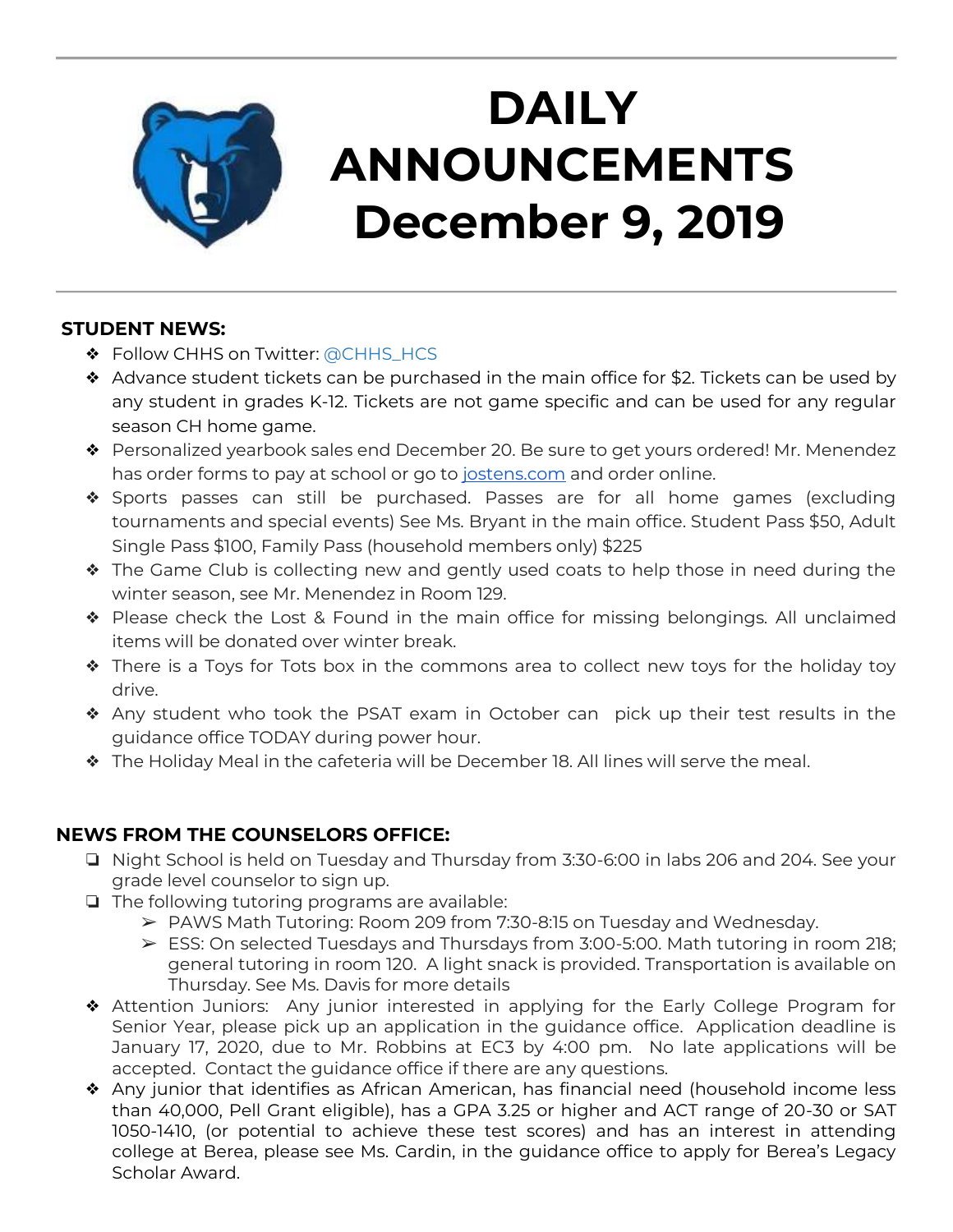

# **DAILY ANNOUNCEMENTS December 9, 2019**

### **STUDENT NEWS:**

- ❖ Follow CHHS on Twitter: [@CHHS\\_HCS](https://twitter.com/CHHS_HCS)
- ❖ Advance student tickets can be purchased in the main office for \$2. Tickets can be used by any student in grades K-12. Tickets are not game specific and can be used for any regular season CH home game.
- ❖ Personalized yearbook sales end December 20. Be sure to get yours ordered! Mr. Menendez has order forms to pay at school or go to [jostens.com](http://jostens.com/) and order online.
- ❖ Sports passes can still be purchased. Passes are for all home games (excluding tournaments and special events) See Ms. Bryant in the main office. Student Pass \$50, Adult Single Pass \$100, Family Pass (household members only) \$225
- ❖ The Game Club is collecting new and gently used coats to help those in need during the winter season, see Mr. Menendez in Room 129.
- ❖ Please check the Lost & Found in the main office for missing belongings. All unclaimed items will be donated over winter break.
- ❖ There is a Toys for Tots box in the commons area to collect new toys for the holiday toy drive.
- ❖ Any student who took the PSAT exam in October can pick up their test results in the guidance office TODAY during power hour.
- ❖ The Holiday Meal in the cafeteria will be December 18. All lines will serve the meal.

## **NEWS FROM THE COUNSELORS OFFICE:**

- ❏ Night School is held on Tuesday and Thursday from 3:30-6:00 in labs 206 and 204. See your grade level counselor to sign up.
- ❏ The following tutoring programs are available:
	- ➢ PAWS Math Tutoring: Room 209 from 7:30-8:15 on Tuesday and Wednesday.
	- ➢ ESS: On selected Tuesdays and Thursdays from 3:00-5:00. Math tutoring in room 218; general tutoring in room 120. A light snack is provided. Transportation is available on Thursday. See Ms. Davis for more details
- ❖ Attention Juniors: Any junior interested in applying for the Early College Program for Senior Year, please pick up an application in the guidance office. Application deadline is January 17, 2020, due to Mr. Robbins at EC3 by 4:00 pm. No late applications will be accepted. Contact the guidance office if there are any questions.
- ❖ Any junior that identifies as African American, has financial need (household income less than 40,000, Pell Grant eligible), has a GPA 3.25 or higher and ACT range of 20-30 or SAT 1050-1410, (or potential to achieve these test scores) and has an interest in attending college at Berea, please see Ms. Cardin, in the guidance office to apply for Berea's Legacy Scholar Award.